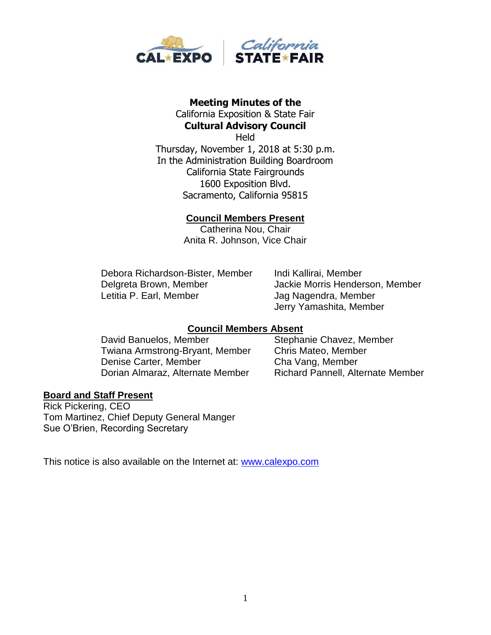

# **Meeting Minutes of the**

California Exposition & State Fair **Cultural Advisory Council Held** 

Thursday, November 1, 2018 at 5:30 p.m. In the Administration Building Boardroom California State Fairgrounds 1600 Exposition Blvd. Sacramento, California 95815

# **Council Members Present**

Catherina Nou, Chair Anita R. Johnson, Vice Chair

Debora Richardson-Bister, Member Indi Kallirai, Member Delgreta Brown, Member Jackie Morris Henderson, Member Letitia P. Earl, Member Jag Nagendra, Member

Jerry Yamashita, Member

# **Council Members Absent**

David Banuelos, Member Stephanie Chavez, Member Twiana Armstrong-Bryant, Member Chris Mateo, Member Denise Carter, Member Cha Vang, Member Dorian Almaraz, Alternate Member Richard Pannell, Alternate Member

#### **Board and Staff Present**

Rick Pickering, CEO Tom Martinez, Chief Deputy General Manger Sue O'Brien, Recording Secretary

This notice is also available on the Internet at: [www.calexpo.com](http://www.calexpo.com/)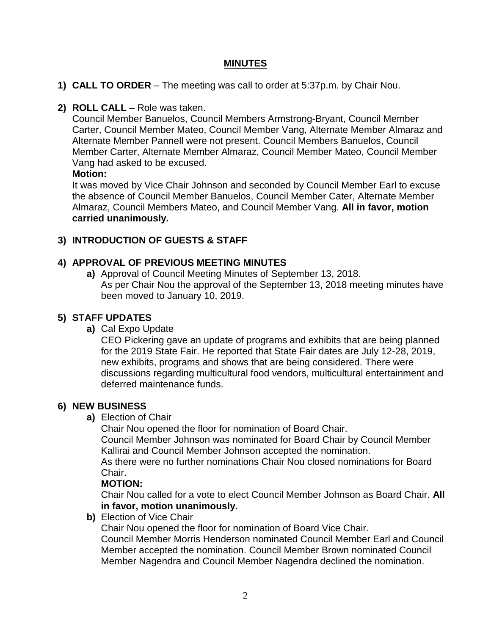# **MINUTES**

- **1) CALL TO ORDER** The meeting was call to order at 5:37p.m. by Chair Nou.
- **2) ROLL CALL**  Role was taken.

Council Member Banuelos, Council Members Armstrong-Bryant, Council Member Carter, Council Member Mateo, Council Member Vang, Alternate Member Almaraz and Alternate Member Pannell were not present. Council Members Banuelos, Council Member Carter, Alternate Member Almaraz, Council Member Mateo, Council Member Vang had asked to be excused.

### **Motion:**

It was moved by Vice Chair Johnson and seconded by Council Member Earl to excuse the absence of Council Member Banuelos, Council Member Cater, Alternate Member Almaraz, Council Members Mateo, and Council Member Vang. **All in favor, motion carried unanimously.**

# **3) INTRODUCTION OF GUESTS & STAFF**

# **4) APPROVAL OF PREVIOUS MEETING MINUTES**

**a)** Approval of Council Meeting Minutes of September 13, 2018. As per Chair Nou the approval of the September 13, 2018 meeting minutes have been moved to January 10, 2019.

# **5) STAFF UPDATES**

**a)** Cal Expo Update

CEO Pickering gave an update of programs and exhibits that are being planned for the 2019 State Fair. He reported that State Fair dates are July 12-28, 2019, new exhibits, programs and shows that are being considered. There were discussions regarding multicultural food vendors, multicultural entertainment and deferred maintenance funds.

# **6) NEW BUSINESS**

**a)** Election of Chair

Chair Nou opened the floor for nomination of Board Chair.

Council Member Johnson was nominated for Board Chair by Council Member Kallirai and Council Member Johnson accepted the nomination.

As there were no further nominations Chair Nou closed nominations for Board Chair.

#### **MOTION:**

Chair Nou called for a vote to elect Council Member Johnson as Board Chair. **All in favor, motion unanimously.**

**b)** Election of Vice Chair

Chair Nou opened the floor for nomination of Board Vice Chair. Council Member Morris Henderson nominated Council Member Earl and Council Member accepted the nomination. Council Member Brown nominated Council Member Nagendra and Council Member Nagendra declined the nomination.